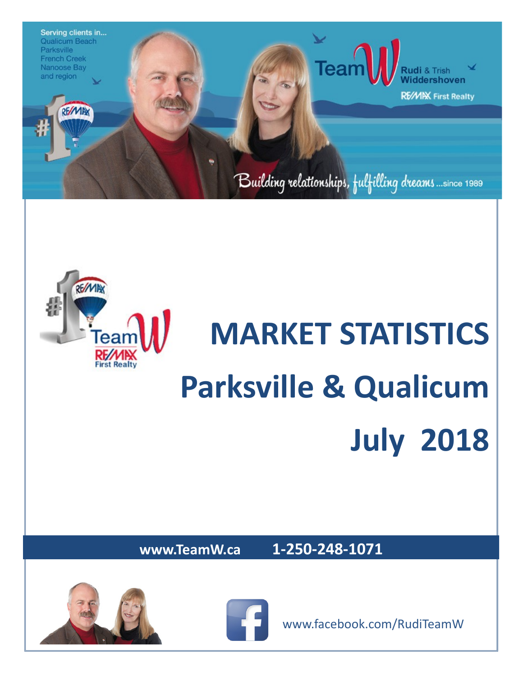



# **MARKET STATISTICS Parksville & Qualicum July 2018**

**www.TeamW.ca 1-250-248-1071** 







www.facebook.com/RudiTeamW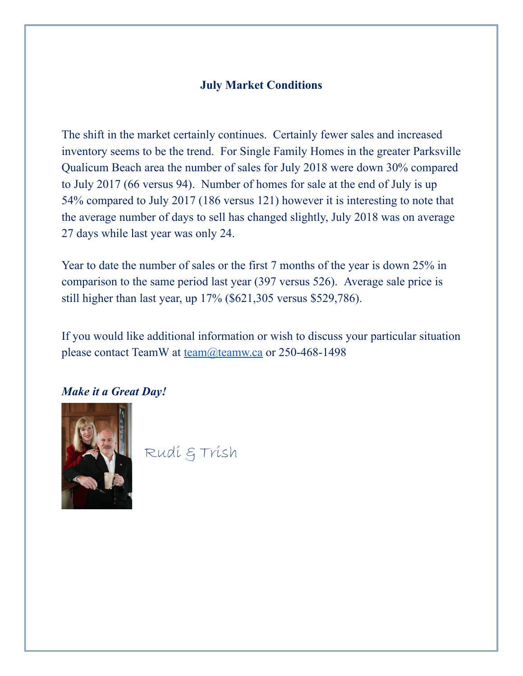#### **July Market Conditions**

The shift in the market certainly continues. Certainly fewer sales and increased inventory seems to be the trend. For Single Family Homes in the greater Parksville Qualicum Beach area the number of sales for July 2018 were down 30% compared to July 2017 (66 versus 94). Number of homes for sale at the end of July is up 54% compared to July 2017 (186 versus 121) however it is interesting to note that the average number of days to sell has changed slightly, July 2018 was on average 27 days while last year was only 24.

Year to date the number of sales or the first 7 months of the year is down 25% in comparison to the same period last year (397 versus 526). Average sale price is still higher than last year, up 17% (\$621,305 versus \$529,786).

If you would like additional information or wish to discuss your particular situation please contact TeamW at [team@teamw.ca](mailto:team@teamw.ca) or 250-468-1498

#### *Make it a Great Day!*



Rudi & Trish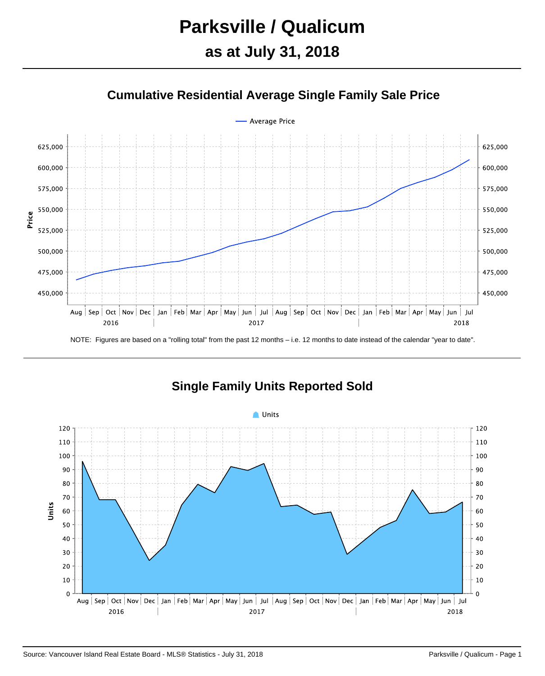## **Parksville / Qualicum**

## **as at July 31, 2018**



#### **Cumulative Residential Average Single Family Sale Price**



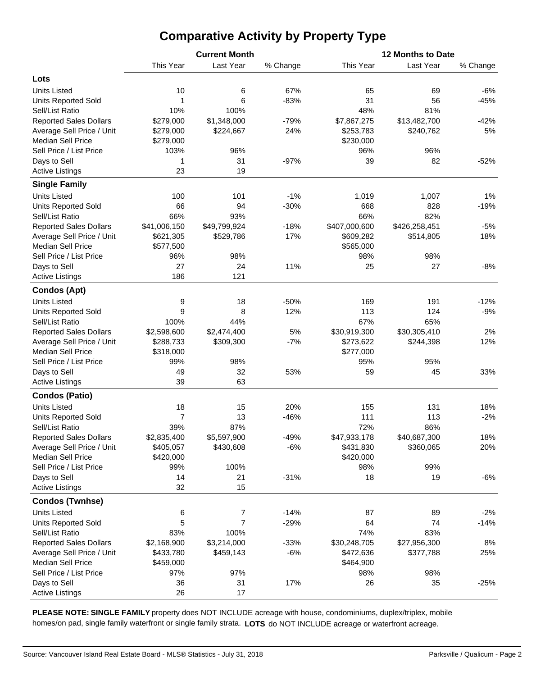### **Comparative Activity by Property Type**

|                               |                | <b>Current Month</b> |          | 12 Months to Date |               |          |  |  |  |  |
|-------------------------------|----------------|----------------------|----------|-------------------|---------------|----------|--|--|--|--|
|                               | This Year      | Last Year            | % Change | This Year         | Last Year     | % Change |  |  |  |  |
| Lots                          |                |                      |          |                   |               |          |  |  |  |  |
| <b>Units Listed</b>           | 10             | 6                    | 67%      | 65                | 69            | $-6%$    |  |  |  |  |
| <b>Units Reported Sold</b>    | 1              | 6                    | $-83%$   | 31                | 56            | $-45%$   |  |  |  |  |
| Sell/List Ratio               | 10%            | 100%                 |          | 48%               | 81%           |          |  |  |  |  |
| <b>Reported Sales Dollars</b> | \$279,000      | \$1,348,000          | $-79%$   | \$7,867,275       | \$13,482,700  | $-42%$   |  |  |  |  |
| Average Sell Price / Unit     | \$279,000      | \$224,667            | 24%      | \$253,783         | \$240,762     | 5%       |  |  |  |  |
| <b>Median Sell Price</b>      | \$279,000      |                      |          | \$230,000         |               |          |  |  |  |  |
| Sell Price / List Price       | 103%           | 96%                  |          | 96%               | 96%           |          |  |  |  |  |
| Days to Sell                  | 1              | 31                   | $-97%$   | 39                | 82            | $-52%$   |  |  |  |  |
| <b>Active Listings</b>        | 23             | 19                   |          |                   |               |          |  |  |  |  |
| <b>Single Family</b>          |                |                      |          |                   |               |          |  |  |  |  |
| <b>Units Listed</b>           | 100            | 101                  | $-1%$    | 1,019             | 1,007         | 1%       |  |  |  |  |
| <b>Units Reported Sold</b>    | 66             | 94                   | $-30%$   | 668               | 828           | $-19%$   |  |  |  |  |
| Sell/List Ratio               | 66%            | 93%                  |          | 66%               | 82%           |          |  |  |  |  |
| <b>Reported Sales Dollars</b> | \$41,006,150   | \$49,799,924         | $-18%$   | \$407,000,600     | \$426,258,451 | $-5%$    |  |  |  |  |
| Average Sell Price / Unit     | \$621,305      | \$529,786            | 17%      | \$609,282         | \$514,805     | 18%      |  |  |  |  |
| <b>Median Sell Price</b>      | \$577,500      |                      |          | \$565,000         |               |          |  |  |  |  |
| Sell Price / List Price       | 96%            | 98%                  |          | 98%               | 98%           |          |  |  |  |  |
| Days to Sell                  | 27             | 24                   | 11%      | 25                | 27            | $-8%$    |  |  |  |  |
| <b>Active Listings</b>        | 186            | 121                  |          |                   |               |          |  |  |  |  |
| <b>Condos (Apt)</b>           |                |                      |          |                   |               |          |  |  |  |  |
| <b>Units Listed</b>           | 9              | 18                   | $-50%$   | 169               | 191           | $-12%$   |  |  |  |  |
| <b>Units Reported Sold</b>    | 9              | 8                    | 12%      | 113               | 124           | $-9%$    |  |  |  |  |
| Sell/List Ratio               | 100%           | 44%                  |          | 67%               | 65%           |          |  |  |  |  |
| <b>Reported Sales Dollars</b> | \$2,598,600    | \$2,474,400          | 5%       | \$30,919,300      | \$30,305,410  | 2%       |  |  |  |  |
| Average Sell Price / Unit     | \$288,733      | \$309,300            | $-7%$    | \$273,622         | \$244,398     | 12%      |  |  |  |  |
| <b>Median Sell Price</b>      | \$318,000      |                      |          | \$277,000         |               |          |  |  |  |  |
| Sell Price / List Price       | 99%            | 98%                  |          | 95%               | 95%           |          |  |  |  |  |
| Days to Sell                  | 49             | 32                   | 53%      | 59                | 45            | 33%      |  |  |  |  |
| <b>Active Listings</b>        | 39             | 63                   |          |                   |               |          |  |  |  |  |
| <b>Condos (Patio)</b>         |                |                      |          |                   |               |          |  |  |  |  |
| <b>Units Listed</b>           | 18             | 15                   | 20%      | 155               | 131           | 18%      |  |  |  |  |
| <b>Units Reported Sold</b>    | $\overline{7}$ | 13                   | $-46%$   | 111               | 113           | $-2%$    |  |  |  |  |
| Sell/List Ratio               | 39%            | 87%                  |          | 72%               | 86%           |          |  |  |  |  |
| <b>Reported Sales Dollars</b> | \$2,835,400    | \$5,597,900          | $-49%$   | \$47,933,178      | \$40,687,300  | 18%      |  |  |  |  |
| Average Sell Price / Unit     | \$405,057      | \$430,608            | $-6%$    | \$431,830         | \$360,065     | 20%      |  |  |  |  |
| <b>Median Sell Price</b>      | \$420,000      |                      |          | \$420,000         |               |          |  |  |  |  |
| Sell Price / List Price       | 99%            | 100%                 |          | 98%               | 99%           |          |  |  |  |  |
| Days to Sell                  | 14             | 21                   | $-31%$   | 18                | 19            | $-6%$    |  |  |  |  |
| <b>Active Listings</b>        | 32             | 15                   |          |                   |               |          |  |  |  |  |
| <b>Condos (Twnhse)</b>        |                |                      |          |                   |               |          |  |  |  |  |
| <b>Units Listed</b>           | 6              | $\overline{7}$       | $-14%$   | 87                | 89            | $-2%$    |  |  |  |  |
| <b>Units Reported Sold</b>    | 5              | $\overline{7}$       | $-29%$   | 64                | 74            | $-14%$   |  |  |  |  |
| Sell/List Ratio               | 83%            | 100%                 |          | 74%               | 83%           |          |  |  |  |  |
| <b>Reported Sales Dollars</b> | \$2,168,900    | \$3,214,000          | $-33%$   | \$30,248,705      | \$27,956,300  | 8%       |  |  |  |  |
| Average Sell Price / Unit     | \$433,780      | \$459,143            | $-6%$    | \$472,636         | \$377,788     | 25%      |  |  |  |  |
| <b>Median Sell Price</b>      | \$459,000      |                      |          | \$464,900         |               |          |  |  |  |  |
| Sell Price / List Price       | 97%            | 97%                  |          | 98%               | 98%           |          |  |  |  |  |
| Days to Sell                  | 36             | 31                   | 17%      | 26                | 35            | $-25%$   |  |  |  |  |
| <b>Active Listings</b>        | 26             | 17                   |          |                   |               |          |  |  |  |  |

**PLEASE NOTE: SINGLE FAMILY** property does NOT INCLUDE acreage with house, condominiums, duplex/triplex, mobile homes/on pad, single family waterfront or single family strata. **LOTS** do NOT INCLUDE acreage or waterfront acreage.